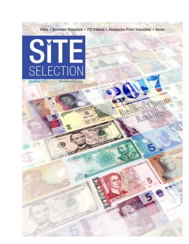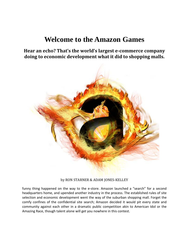# **Welcome to the Amazon Games**

**Hear an echo? That's the world's largest e‐commerce company doing to economic development what it did to shopping malls.**



by RON STARNER & ADAM JONES-KELLEY

funny thing happened on the way to the e-store. Amazon launched a "search" for a second headquarters home, and upended another industry in the process. The established rules of site selection and economic development went the way of the suburban shopping mall. Forget the comfy confines of the confidential site search; Amazon decided it would pit every state and community against each other in a dramatic public competition akin to American Idol or the Amazing Race, though talent alone will get you nowhere in this contest.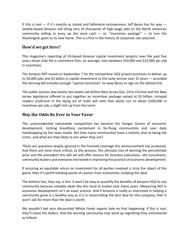If this is real  $-$  if it's exactly as stated and billionaire entrepreneur Jeff Bezos has his way  $-$ Seattle‐based Amazon will bring tens of thousands of high‐wage jobs to the North American community willing to pony up the most cash  $-$  er, "incentives package"  $-$  to lure the Washington giant to its new home. This is a first in the history of corporate site selection.

## **How'd we get here?**

This magazine's reporting of US‐based Amazon capital investment projects over the past five years shows that the e‐commerce firm, on average, nets between \$10,000 and \$15,000 per job in incentives.

The Amazon RFP issued on September 7 for the competitive HQ2 project promises to deliver up to 50,000 jobs and \$5 billion in capital investment to the lucky winner over 15 years — provided the winning bid includes enough "special incentives" to sway Bezos to sign on the dotted line.

The public auction was barely two weeks old before New Jersey Gov. Chris Christie and the New Jersey legislature offered to put together an incentives package valued at \$5 billion. Intrepid readers proficient in the dying art of math will note that works out to about \$100,000 in incentives per job, a slight tick up from the norm.

#### **May the Odds Be Ever in Your Favor**

This unprecedented nationwide competition has become the Hunger Games of economic development, inciting breathless excitement in far-flung communities and near daily handicapping by the news media. But how many communities have a realistic shot at being the victor, and what are they likely to win when they are?

These are questions largely ignored in the frenzied coverage this announcement has produced. And there are none more critical, as this process, the ultimate cost of winning the penultimate prize and the precedent this will set will offer lessons for business executives, site consultants, community leaders and everyone interested in improving the practice of economic development.

If ensuring an equitable return on investment for all parties involved is truly the object of the game, then it's worth heeding words of caution from economists studying this deal.

The bottom line, they say, is this: It won't be easy to quantify the benefits of Amazon HQ2 to any community because complex deals like this tend to evolve over many years. Measuring ROI in economic development isn't an exact science. And if Amazon is really as interested in helping a community grow in a healthy way as it is in steamrolling the best deal for the company, then it won't ask for more than the deal is worth.

We wouldn't bet your discounted Whole Foods organic kale on that happening. If this is real, they'll chase the dollars. And the winning community may wind up regretting they volunteered as tribute.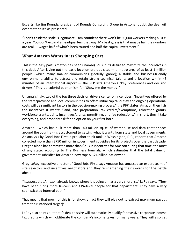Experts like Jim Rounds, president of Rounds Consulting Group in Arizona, doubt the deal will ever materialize as presented.

"I don't think the scale islegitimate. I am confident there won't be 50,000 workers making \$100K a year. You don't expand a headquarters that way. My best guess is that maybe half the numbers are real — wages half of what's been touted and half the capital investment."

#### **What Amazon Wants in its Shopping Cart**

This is the easy part. Amazon has been unambiguous in its desire to maximize the incentives in this deal. After laying out the basic location prerequisites  $-$  a metro area of at least 1 million people (which many smaller communities gleefully ignore); a stable and business‐friendly environment; ability to attract and retain strong technical talent; and a location within 45 minutes of an international airport  $-$  the RFP lists Amazon's "key preferences and decision drivers." This is a colorful euphemism for "Show me the money!"

Unsurprisingly, two of the top three decision drivers center on incentives. "Incentives offered by the state/province and local communities to offset initial capital outlay and ongoing operational costs will be significant factors in the decision-making process," the RFP states. Amazon then lists the incentives it wants: "land, site preparation, tax credits/exemptions, relocation grants, workforce grants, utility incentives/grants, permitting, and fee reductions." In short, they'll take everything, and probably ask for an option on your first born.

Amazon – which has built more than 140 million sq. ft. of warehouse and data center space around the country -- is accustomed to getting what it wants from state and local governments. An analysis by Good Jobs First, a pro‐labor think tank in Washington, D.C., reports that Amazon collected more than \$750 million in government subsidies for its projects over the past decade. Oregon alone has committed more than \$213 in incentives for Amazon during that time, the most of any state, according to The Business Journals, which estimates that the total value of government subsidies for Amazon now tops \$1.24 billion nationwide.

Greg LeRoy, executive director of Good Jobs First, says Amazon has amassed an expert team of site selectors and incentives negotiators and they're sharpening their swords for the battle ahead.

"I suspect that Amazon already knows where it is going or has a very short list," LeRoy says. "They have been hiring more lawyers and CPA-level people for that department. They have a very sophisticated internal path."

That means that much of this is for show, an act they will play out to extract maximum payout from their intended target(s).

LeRoy also points out that "a deal thissize will automatically qualify for massive corporate income tax credits which will obliterate the company's income taxes for many years. They will also get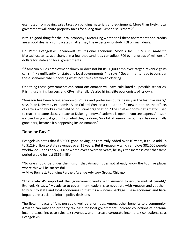exempted from paying sales taxes on building materials and equipment. More than likely, local government will abate property taxes for a long time. What else is there?"

Is this a good thing for the local economy? Measuring whether all these abatements and credits are a good deal is a complicated matter, say the experts who study ROI on such deals.

Dr. Peter Evangelakis, economist at Regional Economic Models Inc. (REMI) in Amherst, Massachusetts, says a change in a few thousand jobs can adjust ROI by hundreds of millions of dollars for state and local governments.

"If Amazon builds employment slowly or does not hit its 50,000‐employee target, revenue gains can shrink significantly for state and local governments," he says. "Governments need to consider these scenarios when deciding what incentives are worth offering."

One thing those governments can count on: Amazon will have calculated all possible scenarios. It isn't just hiring lawyers and CPAs, after all. It's also hiring elite economists of its own.

"Amazon has been hiring economics Ph.D.s and professors quite heavily in the last five years," says Duke University economist Allan Collard-Wexler, a co-author of a new report on the effects of cartels who works in the field of industrial organization. "The chief economist at Amazon used to teach the same classes I teach at Duke right now. Academia is open — you see papers. Amazon is closed — you just get hints of what they're doing. So a lot of research in our field has essentially gone dark, because it's happening inside Amazon."

## **Boon or Bust?**

Evangelakis notes that if 50,000 good‐paying jobs are truly added over 10 years, it could add up to \$12.9 billion to state revenues over 15 years. But if Amazon – which employs 382,000 people worldwide -- adds only 2,500 new employees over five years, he says, the increase over that same period would be just \$869 million.

"No one should be under the illusion that Amazon does not already know the top five places where this will be successful."

—Mike Bennett, Founding Partner, Avenue Advisory Group, Chicago

"That's why it's important that government works with Amazon to ensure mutual benefit," Evangelakis says. "My advice to government leaders is to negotiate with Amazon and get them to buy into state and local economies so that it's a win‐win package. These economic and fiscal impacts are crucial to inform policy decisions."

The fiscal impacts of Amazon could well be enormous. Among other benefits to a community, Amazon can raise the property tax base for local government, increase collections of personal income taxes, increase sales tax revenues, and increase corporate income tax collections, says Evangelakis.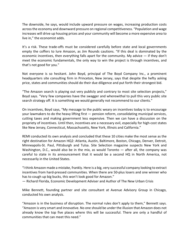The downside, he says, would include upward pressure on wages, increasing production costs acrossthe economy and downward pressure on regional competitiveness. "Population and wage increases will drive up housing prices and your community will become a more expensive area to live in," the economist adds.

It's a risk. These trade-offs must be considered carefully before state and local governments empty the coffers to lure Amazon, as Jim Rounds cautions. "If this deal is dominated by the economic incentives, then everything falls apart for the community. My advice  $-$  if they don't meet the economic fundamentals, the only way to win the project is through incentives, and that's not good for you."

Not everyone is so hesitant. John Boyd, principal of The Boyd Company Inc., a prominent headquarters site consulting firm in Princeton, New Jersey, says that despite the hefty asking price, states and communities should do their due diligence and put forth their strongest bid.

"The Amazon search is playing out very publicly and contrary to most site selection projects," Boyd says. "Very few companies have the swagger and wherewithal to pull this very public site search strategy off. It is something we would generally not recommend to our clients."

On incentives, Boyd says, "My message to the public weary on incentives today is to encourage your lawmakers to do the heavy lifting first — pension reform, consolidating municipal services, cutting taxes and making government less expensive. Then we can have a discussion on the propriety of incentives. Until then, incentives are a necessary evil, especially for high‐cost states like New Jersey, Connecticut, Massachusetts, New York, Illinois and California."

REMI conducted its own analysis and concluded that these 10 cities make the most sense as the right destination for Amazon HQ2: Atlanta, Austin, Baltimore, Boston, Chicago, Denver, Detroit, Minneapolis‐St. Paul, Pittsburgh and Tulsa. Site Selection magazine suspects New York and Washington, D.C., would also be in the mix, as would Toronto — after all, the company was careful to state in its announcement that it would be a second HQ in North America, not necessarily in the United States.

"I think Amazon made a mistake, frankly. Here is a big, very successful company looking to extract incentives from hard‐pressed communities. When there are 50‐plus losers and one winner who has to cough up big bucks, this won't look good for Amazon."

— Richard Florida, Economic Development Adviser and Author of The New Urban Crisis

Mike Bennett, founding partner and site consultant at Avenue Advisory Group in Chicago, conducted his own analysis.

"Amazon is in the business of disruption. The normal rules don't apply to them," Bennett says. "Amazon is very smart and innovative. No one should be under the illusion that Amazon does not already know the top five places where this will be successful. There are only a handful of communities that can meet this need."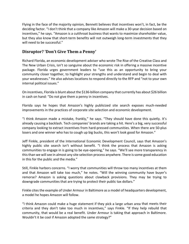Flying in the face of the majority opinion, Bennett believes that incentives won't, in fact, be the deciding factor. "I don't think that a company like Amazon will make a 30‐year decision based on incentives," he says. "Amazon is a cutthroat business that wants to maximize shareholder value, but they also know that short-term benefits will not outweigh long-term investments that they will need to be successful."

#### **Disruptor? 'Don't Give Them a Penny'**

Richard Florida, an economic development adviser who wrote The Rise of the Creative Class and The New Urban Crisis, isn't so sanguine about the economic risk in offering a massive incentive package. Florida urges government leaders to "use this as an opportunity to bring your community closer together, to highlight your strengths and understand and begin to deal with your weaknesses." He also advises locations to respond directly to the RFP and "not to your own internal political issues."

On incentives, Florida is blunt about the \$136‐billion company that currently has about \$26 billion in cash on hand: "Do not give them a penny in incentives.

Florida says he hopes that Amazon's highly publicized site search exposes much-needed improvements in the practices of corporate site selection and economic development.

"I think Amazon made a mistake, frankly," he says. "They should have done this quietly. It's already causing a backlash. Tech companies' brands are taking a hit. Here's a big, very successful company looking to extract incentives from hard‐pressed communities. When there are 50‐plus losers and one winner who has to cough up big bucks, this won't look good for Amazon."

Jeff Finkle, president of the International Economic Development Council, says that Amazon's highly public site search isn't without benefit. "I think the process that Amazon is asking communities to engage in is going to be eye‐opening," he says. "We'll see more transparency in this than we will see in almost any site selection process anywhere. There is some good education in this for the public and the media."

Still, Finkle harbors concerns. "I worry that communities will throw too many incentives at them and that Amazon will take too much," he notes. "Will the winning community have buyer's remorse? Amazon is asking questions about clawback provisions. They may be trying to downgrade communities that are trying to protect their public tax dollars."

Finkle cites the example of Under Armour in Baltimore as a model of headquarters development, a model he hopes Amazon will follow.

"I think Amazon could make a huge statement if they pick a large urban area that meets their criteria and they don't take too much in incentives," says Finkle. "If they help rebuild that community, that would be a real benefit. Under Armour is taking that approach in Baltimore. Wouldn't it be cool if Amazon adopted the same strategy?"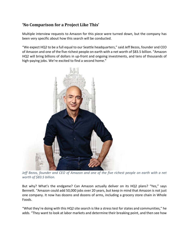# **'No Comparison for a Project Like This'**

Multiple interview requests to Amazon for this piece were turned down, but the company has been very specific about how this search will be conducted.

"We expect HQ2 to be a full equal to our Seattle headquarters," said Jeff Bezos, founder and CEO of Amazon and one of the five richest people on earth with a net worth of \$83.5 billion. "Amazon HQ2 will bring billions of dollars in up-front and ongoing investments, and tens of thousands of high-paying jobs. We're excited to find a second home."



Jeff Bezos, founder and CEO of Amazon and one of the five richest people on earth with a net *worth of \$83.5 billion.*

But why? What's the endgame? Can Amazon actually deliver on its HQ2 plans? "Yes," says Bennett. "Amazon could add 50,000 jobs over 20 years, but keep in mind that Amazon is not just one company. It now has dozens and dozens of arms, including a grocery store chain in Whole Foods.

"What they're doing with this HQ2 site search is like a stress test for states and communities," he adds. "They want to look at labor markets and determine their breaking point, and then see how